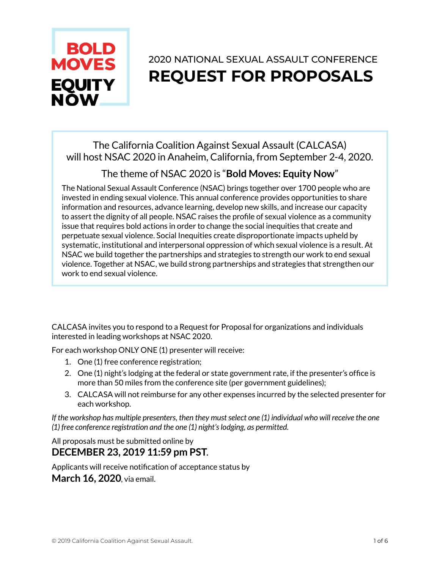

# 2020 NATIONAL SEXUAL ASSAULT CONFERENCE **REQUEST FOR PROPOSALS**

The California Coalition Against Sexual Assault (CALCASA) will host NSAC 2020 in Anaheim, California, from September 2-4, 2020.

# The theme of NSAC 2020 is "**Bold Moves: Equity Now**"

The National Sexual Assault Conference (NSAC) brings together over 1700 people who are invested in ending sexual violence. This annual conference provides opportunities to share information and resources, advance learning, develop new skills, and increase our capacity to assert the dignity of all people. NSAC raises the profile of sexual violence as a community issue that requires bold actions in order to change the social inequities that create and perpetuate sexual violence. Social Inequities create disproportionate impacts upheld by systematic, institutional and interpersonal oppression of which sexual violence is a result. At NSAC we build together the partnerships and strategies to strength our work to end sexual violence. Together at NSAC, we build strong partnerships and strategies that strengthen our work to end sexual violence.

CALCASA invites you to respond to a Request for Proposal for organizations and individuals interested in leading workshops at NSAC 2020.

For each workshop ONLY ONE (1) presenter will receive:

- 1. One (1) free conference registration;
- 2. One (1) night's lodging at the federal or state government rate, if the presenter's office is more than 50 miles from the conference site (per government guidelines);
- 3. CALCASA will not reimburse for any other expenses incurred by the selected presenter for each workshop.

*If the workshop has multiple presenters, then they must select one (1) individual who will receive the one (1) free conference registration and the one (1) night's lodging, as permitted.* 

All proposals must be submitted online by **DECEMBER 23, 2019 11:59 pm PST**.

Applicants will receive notification of acceptance status by **March 16, 2020**, via email.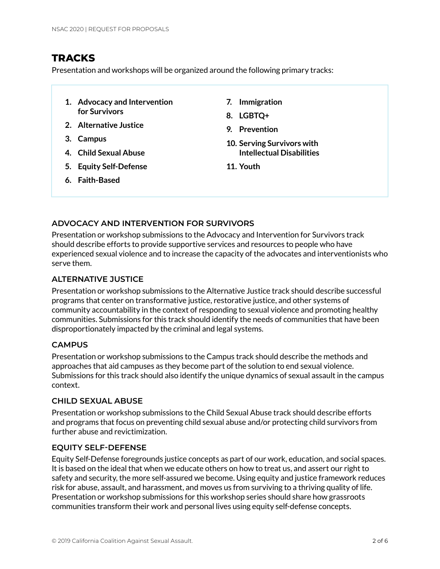# **TRACKS**

Presentation and workshops will be organized around the following primary tracks:

- **1. Advocacy and Intervention for Survivors**
- **2. Alternative Justice**
- **3. Campus**
- **4. Child Sexual Abuse**
- **5. Equity Self-Defense**
- **6. Faith-Based**
- **7. Immigration**
- **8. LGBTQ+**
- **9. Prevention**
- **10. Serving Survivors with Intellectual Disabilities**
- **11. Youth**

# **ADVOCACY AND INTERVENTION FOR SURVIVORS**

Presentation or workshop submissions to the Advocacy and Intervention for Survivors track should describe efforts to provide supportive services and resources to people who have experienced sexual violence and to increase the capacity of the advocates and interventionists who serve them.

### **ALTERNATIVE JUSTICE**

Presentation or workshop submissions to the Alternative Justice track should describe successful programs that center on transformative justice, restorative justice, and other systems of community accountability in the context of responding to sexual violence and promoting healthy communities. Submissions for this track should identify the needs of communities that have been disproportionately impacted by the criminal and legal systems.

### **CAMPUS**

Presentation or workshop submissions to the Campus track should describe the methods and approaches that aid campuses as they become part of the solution to end sexual violence. Submissions for this track should also identify the unique dynamics of sexual assault in the campus context.

### **CHILD SEXUAL ABUSE**

Presentation or workshop submissions to the Child Sexual Abuse track should describe efforts and programs that focus on preventing child sexual abuse and/or protecting child survivors from further abuse and revictimization.

### **EQUITY SELF-DEFENSE**

Equity Self-Defense foregrounds justice concepts as part of our work, education, and social spaces. It is based on the ideal that when we educate others on how to treat us, and assert our right to safety and security, the more self-assured we become. Using equity and justice framework reduces risk for abuse, assault, and harassment, and moves us from surviving to a thriving quality of life. Presentation or workshop submissions for this workshop series should share how grassroots communities transform their work and personal lives using equity self-defense concepts.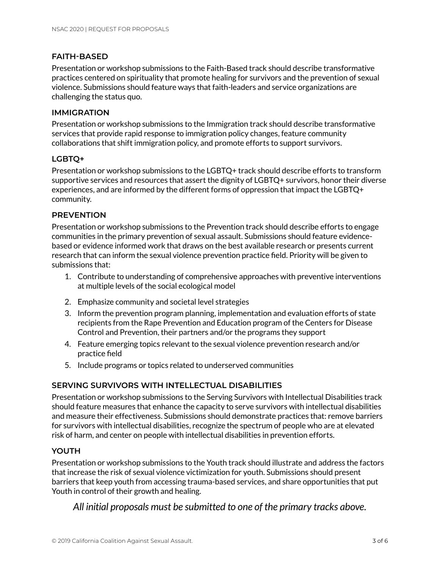# **FAITH-BASED**

Presentation or workshop submissions to the Faith-Based track should describe transformative practices centered on spirituality that promote healing for survivors and the prevention of sexual violence. Submissions should feature ways that faith-leaders and service organizations are challenging the status quo.

### **IMMIGRATION**

Presentation or workshop submissions to the Immigration track should describe transformative services that provide rapid response to immigration policy changes, feature community collaborations that shift immigration policy, and promote efforts to support survivors.

### **LGBTQ+**

Presentation or workshop submissions to the LGBTQ+ track should describe efforts to transform supportive services and resources that assert the dignity of LGBTQ+ survivors, honor their diverse experiences, and are informed by the different forms of oppression that impact the LGBTQ+ community.

### **PREVENTION**

Presentation or workshop submissions to the Prevention track should describe efforts to engage communities in the primary prevention of sexual assault. Submissions should feature evidencebased or evidence informed work that draws on the best available research or presents current research that can inform the sexual violence prevention practice field. Priority will be given to submissions that:

- 1. Contribute to understanding of comprehensive approaches with preventive interventions at multiple levels of the social ecological model
- 2. Emphasize community and societal level strategies
- 3. Inform the prevention program planning, implementation and evaluation efforts of state recipients from the Rape Prevention and Education program of the Centers for Disease Control and Prevention, their partners and/or the programs they support
- 4. Feature emerging topics relevant to the sexual violence prevention research and/or practice field
- 5. Include programs or topics related to underserved communities

### **SERVING SURVIVORS WITH INTELLECTUAL DISABILITIES**

Presentation or workshop submissions to the Serving Survivors with Intellectual Disabilities track should feature measures that enhance the capacity to serve survivors with intellectual disabilities and measure their effectiveness. Submissions should demonstrate practices that: remove barriers for survivors with intellectual disabilities, recognize the spectrum of people who are at elevated risk of harm, and center on people with intellectual disabilities in prevention efforts.

# **YOUTH**

Presentation or workshop submissions to the Youth track should illustrate and address the factors that increase the risk of sexual violence victimization for youth. Submissions should present barriers that keep youth from accessing trauma-based services, and share opportunities that put Youth in control of their growth and healing.

*All initial proposals must be submitted to one of the primary tracks above.*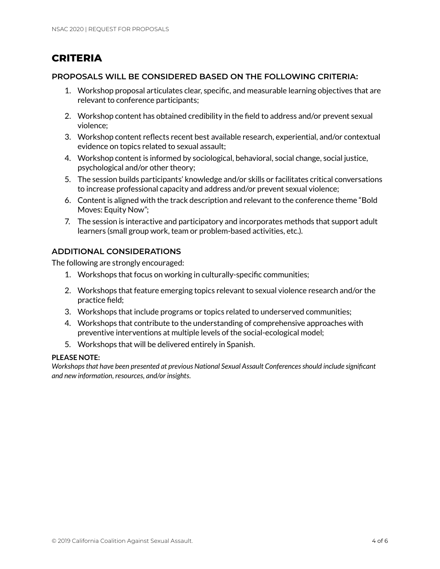# **CRITERIA**

### **PROPOSALS WILL BE CONSIDERED BASED ON THE FOLLOWING CRITERIA:**

- 1. Workshop proposal articulates clear, specific, and measurable learning objectives that are relevant to conference participants;
- 2. Workshop content has obtained credibility in the field to address and/or prevent sexual violence;
- 3. Workshop content reflects recent best available research, experiential, and/or contextual evidence on topics related to sexual assault;
- 4. Workshop content is informed by sociological, behavioral, social change, social justice, psychological and/or other theory;
- 5. The session builds participants' knowledge and/or skills or facilitates critical conversations to increase professional capacity and address and/or prevent sexual violence;
- 6. Content is aligned with the track description and relevant to the conference theme "Bold Moves: Equity Now";
- 7. The session is interactive and participatory and incorporates methods that support adult learners (small group work, team or problem-based activities, etc.).

# **ADDITIONAL CONSIDERATIONS**

The following are strongly encouraged:

- 1. Workshops that focus on working in culturally-specific communities;
- 2. Workshops that feature emerging topics relevant to sexual violence research and/or the practice field;
- 3. Workshops that include programs or topics related to underserved communities;
- 4. Workshops that contribute to the understanding of comprehensive approaches with preventive interventions at multiple levels of the social-ecological model;
- 5. Workshops that will be delivered entirely in Spanish.

### **PLEASE NOTE:**

*Workshops that have been presented at previous National Sexual Assault Conferences should include significant and new information, resources, and/or insights.*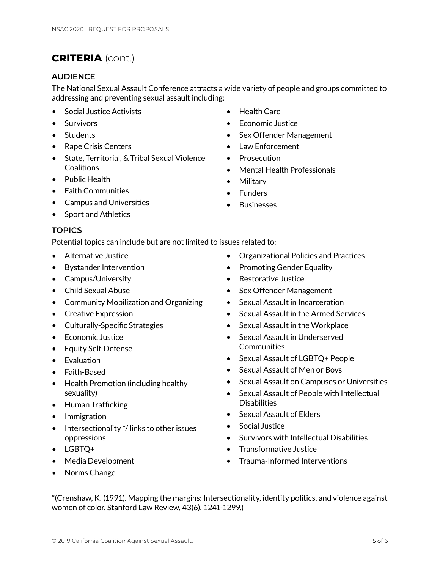# **CRITERIA** (cont.)

### **AUDIENCE**

The National Sexual Assault Conference attracts a wide variety of people and groups committed to addressing and preventing sexual assault including:

- Social Justice Activists
- Survivors
- Students
- Rape Crisis Centers
- State, Territorial, & Tribal Sexual Violence **Coalitions**
- Public Health
- Faith Communities
- Campus and Universities
- Sport and Athletics

#### **TOPICS**

Potential topics can include but are not limited to issues related to:

- Alternative Justice
- Bystander Intervention
- Campus/University
- Child Sexual Abuse
- Community Mobilization and Organizing
- Creative Expression
- Culturally-Specific Strategies
- Economic Justice
- Equity Self-Defense
- Evaluation
- Faith-Based
- Health Promotion (including healthy sexuality)
- Human Trafficking
- Immigration
- Intersectionality \*/ links to other issues oppressions
- LGBTQ+
- Media Development
- Norms Change
- Health Care
- Economic Justice
- Sex Offender Management
- Law Enforcement
- Prosecution
- Mental Health Professionals
- Military
- Funders
- Businesses
- Organizational Policies and Practices
- Promoting Gender Equality
- Restorative Justice
- Sex Offender Management
- Sexual Assault in Incarceration
- Sexual Assault in the Armed Services
- Sexual Assault in the Workplace
- Sexual Assault in Underserved **Communities**
- Sexual Assault of LGBTQ+ People
- Sexual Assault of Men or Boys
- Sexual Assault on Campuses or Universities
- Sexual Assault of People with Intellectual **Disabilities**
- Sexual Assault of Elders
- Social Justice
- Survivors with Intellectual Disabilities
- Transformative Justice
- Trauma-Informed Interventions

\*(Crenshaw, K. (1991). Mapping the margins: Intersectionality, identity politics, and violence against women of color. Stanford Law Review, 43(6), 1241-1299.)